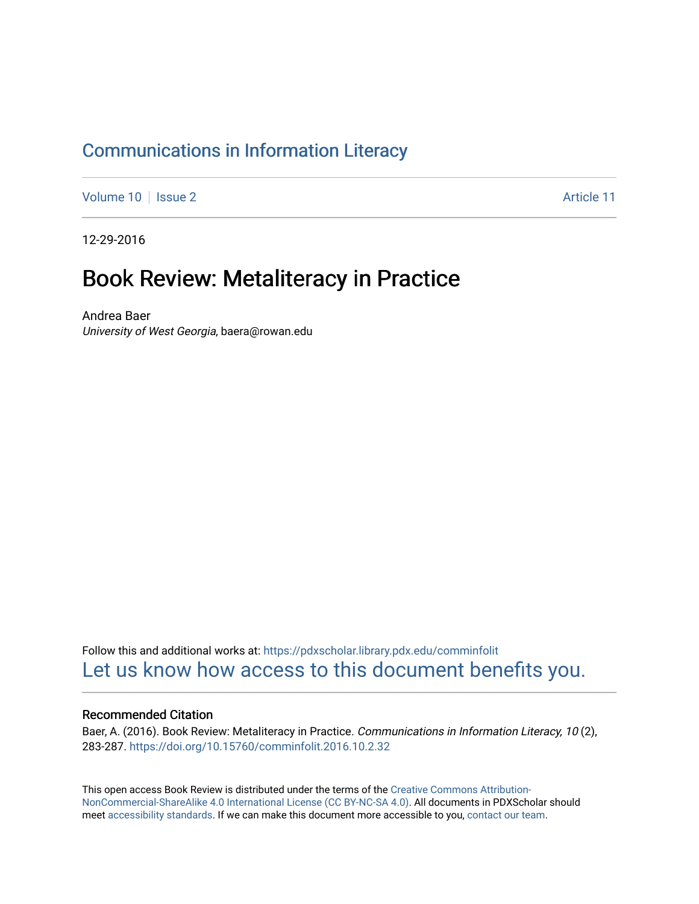### [Communications in Information Literacy](https://pdxscholar.library.pdx.edu/comminfolit)

[Volume 10](https://pdxscholar.library.pdx.edu/comminfolit/vol10) | [Issue 2](https://pdxscholar.library.pdx.edu/comminfolit/vol10/iss2) Article 11

12-29-2016

## Book Review: Metaliteracy in Practice

Andrea Baer University of West Georgia, baera@rowan.edu

Follow this and additional works at: [https://pdxscholar.library.pdx.edu/comminfolit](https://pdxscholar.library.pdx.edu/comminfolit?utm_source=pdxscholar.library.pdx.edu%2Fcomminfolit%2Fvol10%2Fiss2%2F11&utm_medium=PDF&utm_campaign=PDFCoverPages)  [Let us know how access to this document benefits you.](http://library.pdx.edu/services/pdxscholar-services/pdxscholar-feedback/) 

#### Recommended Citation

Baer, A. (2016). Book Review: Metaliteracy in Practice. Communications in Information Literacy, 10(2), 283-287. <https://doi.org/10.15760/comminfolit.2016.10.2.32>

This open access Book Review is distributed under the terms of the [Creative Commons Attribution-](https://creativecommons.org/licenses/by-nc-sa/4.0/)[NonCommercial-ShareAlike 4.0 International License \(CC BY-NC-SA 4.0\)](https://creativecommons.org/licenses/by-nc-sa/4.0/). All documents in PDXScholar should meet [accessibility standards](https://pdxscholar.library.pdx.edu/accessibility.html). If we can make this document more accessible to you, [contact our team.](mailto:pdxscholar@pdx.edu)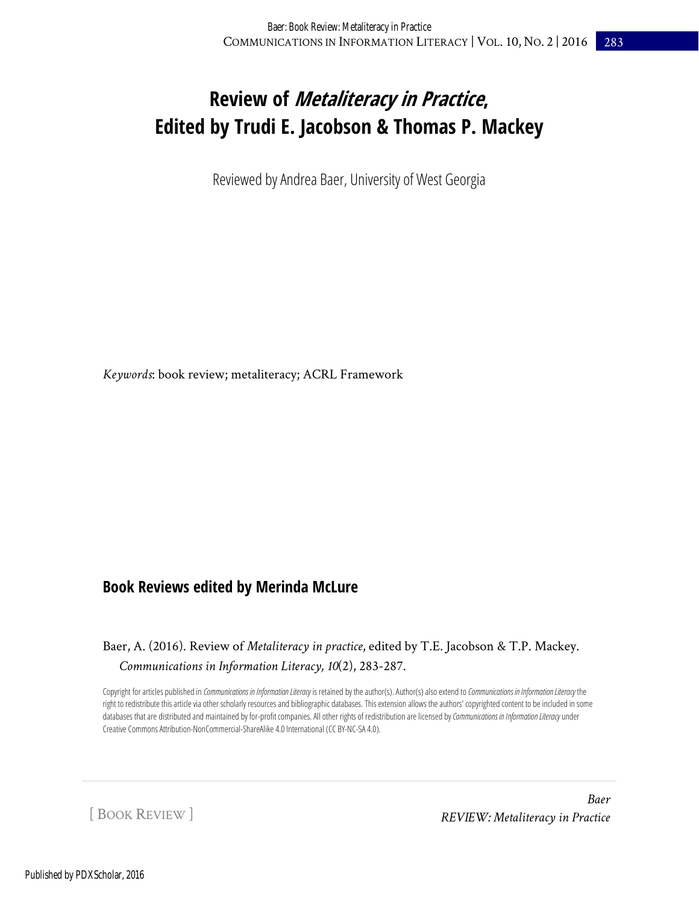# **Review of Metaliteracy in Practice, Edited by Trudi E. Jacobson & Thomas P. Mackey**

Reviewed by Andrea Baer, University of West Georgia

*Keywords*: book review; metaliteracy; ACRL Framework

### **Book Reviews edited by Merinda McLure**

### Baer, A. (2016). Review of *Metaliteracy in practice*, edited by T.E. Jacobson & T.P. Mackey. *Communications in Information Literacy, 10*(2), 283-287.

Copyright for articles published in *Communications in Information Literacy* is retained by the author(s). Author(s) also extend to *Communications in Information Literacy* the right to redistribute this article via other scholarly resources and bibliographic databases. This extension allows the authors' copyrighted content to be included in some databases that are distributed and maintained by for-profit companies. All other rights of redistribution are licensed by Communications in Information Literacy under Creative Commons Attribution-NonCommercial-ShareAlike 4.0 International (CC BY-NC-SA 4.0).

[ BOOK REVIEW ]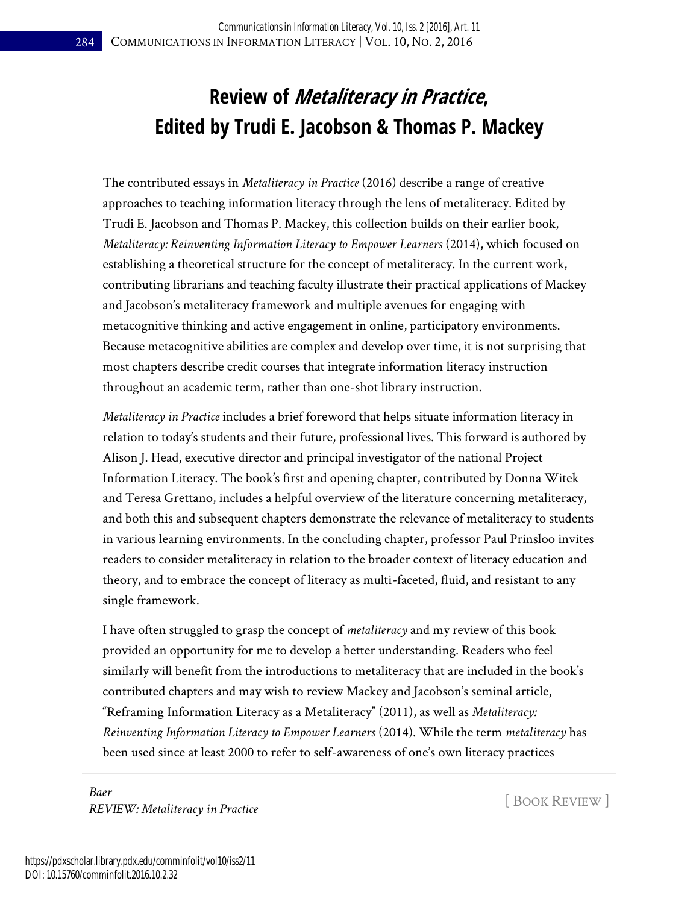# **Review of Metaliteracy in Practice, Edited by Trudi E. Jacobson & Thomas P. Mackey**

The contributed essays in *Metaliteracy in Practice* (2016) describe a range of creative approaches to teaching information literacy through the lens of metaliteracy. Edited by Trudi E. Jacobson and Thomas P. Mackey, this collection builds on their earlier book, *Metaliteracy: Reinventing Information Literacy to Empower Learners* (2014), which focused on establishing a theoretical structure for the concept of metaliteracy. In the current work, contributing librarians and teaching faculty illustrate their practical applications of Mackey and Jacobson's metaliteracy framework and multiple avenues for engaging with metacognitive thinking and active engagement in online, participatory environments. Because metacognitive abilities are complex and develop over time, it is not surprising that most chapters describe credit courses that integrate information literacy instruction throughout an academic term, rather than one-shot library instruction.

*Metaliteracy in Practice* includes a brief foreword that helps situate information literacy in relation to today's students and their future, professional lives. This forward is authored by Alison J. Head, executive director and principal investigator of the national Project Information Literacy. The book's first and opening chapter, contributed by Donna Witek and Teresa Grettano, includes a helpful overview of the literature concerning metaliteracy, and both this and subsequent chapters demonstrate the relevance of metaliteracy to students in various learning environments. In the concluding chapter, professor Paul Prinsloo invites readers to consider metaliteracy in relation to the broader context of literacy education and theory, and to embrace the concept of literacy as multi-faceted, fluid, and resistant to any single framework.

I have often struggled to grasp the concept of *metaliteracy* and my review of this book provided an opportunity for me to develop a better understanding. Readers who feel similarly will benefit from the introductions to metaliteracy that are included in the book's contributed chapters and may wish to review Mackey and Jacobson's seminal article, "Reframing Information Literacy as a Metaliteracy" (2011), as well as *Metaliteracy: Reinventing Information Literacy to Empower Learners* (2014). While the term *metaliteracy* has been used since at least 2000 to refer to self-awareness of one's own literacy practices

*Baer REVIEW: Metaliteracy in Practice* **Example 2008** [ BOOK REVIEW ]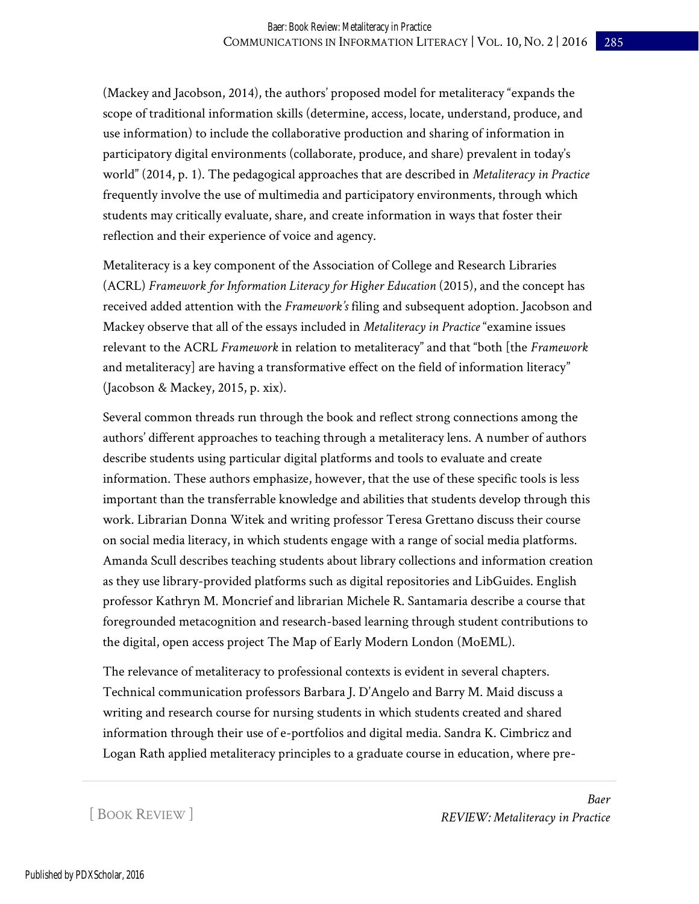(Mackey and Jacobson, 2014), the authors' proposed model for metaliteracy "expands the scope of traditional information skills (determine, access, locate, understand, produce, and use information) to include the collaborative production and sharing of information in participatory digital environments (collaborate, produce, and share) prevalent in today's world" (2014, p. 1). The pedagogical approaches that are described in *Metaliteracy in Practice*  frequently involve the use of multimedia and participatory environments, through which students may critically evaluate, share, and create information in ways that foster their reflection and their experience of voice and agency.

Metaliteracy is a key component of the Association of College and Research Libraries (ACRL) *Framework for Information Literacy for Higher Education* (2015), and the concept has received added attention with the *Framework's* filing and subsequent adoption. Jacobson and Mackey observe that all of the essays included in *Metaliteracy in Practice* "examine issues relevant to the ACRL *Framework* in relation to metaliteracy" and that "both [the *Framework*  and metaliteracy] are having a transformative effect on the field of information literacy" (Jacobson & Mackey, 2015, p. xix).

Several common threads run through the book and reflect strong connections among the authors' different approaches to teaching through a metaliteracy lens. A number of authors describe students using particular digital platforms and tools to evaluate and create information. These authors emphasize, however, that the use of these specific tools is less important than the transferrable knowledge and abilities that students develop through this work. Librarian Donna Witek and writing professor Teresa Grettano discuss their course on social media literacy, in which students engage with a range of social media platforms. Amanda Scull describes teaching students about library collections and information creation as they use library-provided platforms such as digital repositories and LibGuides. English professor Kathryn M. Moncrief and librarian Michele R. Santamaria describe a course that foregrounded metacognition and research-based learning through student contributions to the digital, open access project The Map of Early Modern London (MoEML).

The relevance of metaliteracy to professional contexts is evident in several chapters. Technical communication professors Barbara J. D'Angelo and Barry M. Maid discuss a writing and research course for nursing students in which students created and shared information through their use of e-portfolios and digital media. Sandra K. Cimbricz and Logan Rath applied metaliteracy principles to a graduate course in education, where pre-

[ BOOK REVIEW ]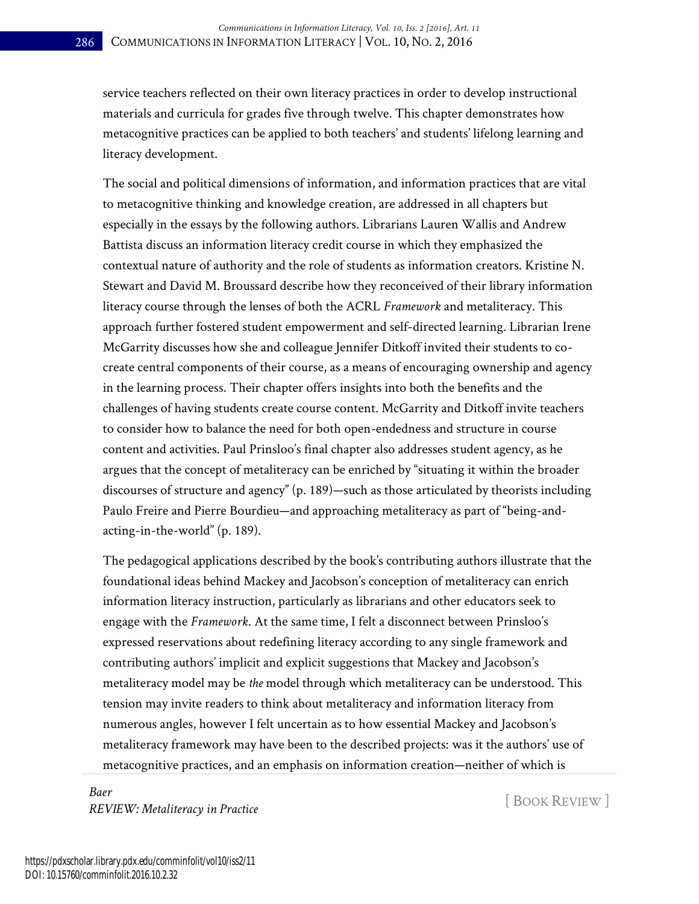service teachers reflected on their own literacy practices in order to develop instructional materials and curricula for grades five through twelve. This chapter demonstrates how metacognitive practices can be applied to both teachers' and students' lifelong learning and literacy development.

The social and political dimensions of information, and information practices that are vital to metacognitive thinking and knowledge creation, are addressed in all chapters but especially in the essays by the following authors. Librarians Lauren Wallis and Andrew Battista discuss an information literacy credit course in which they emphasized the contextual nature of authority and the role of students as information creators. Kristine N. Stewart and David M. Broussard describe how they reconceived of their library information literacy course through the lenses of both the ACRL *Framework* and metaliteracy. This approach further fostered student empowerment and self-directed learning. Librarian Irene McGarrity discusses how she and colleague Jennifer Ditkoff invited their students to cocreate central components of their course, as a means of encouraging ownership and agency in the learning process. Their chapter offers insights into both the benefits and the challenges of having students create course content. McGarrity and Ditkoff invite teachers to consider how to balance the need for both open-endedness and structure in course content and activities. Paul Prinsloo's final chapter also addresses student agency, as he argues that the concept of metaliteracy can be enriched by "situating it within the broader discourses of structure and agency" (p. 189)—such as those articulated by theorists including Paulo Freire and Pierre Bourdieu—and approaching metaliteracy as part of "being-andacting-in-the-world" (p. 189).

The pedagogical applications described by the book's contributing authors illustrate that the foundational ideas behind Mackey and Jacobson's conception of metaliteracy can enrich information literacy instruction, particularly as librarians and other educators seek to engage with the *Framework*. At the same time, I felt a disconnect between Prinsloo's expressed reservations about redefining literacy according to any single framework and contributing authors' implicit and explicit suggestions that Mackey and Jacobson's metaliteracy model may be *the* model through which metaliteracy can be understood. This tension may invite readers to think about metaliteracy and information literacy from numerous angles, however I felt uncertain as to how essential Mackey and Jacobson's metaliteracy framework may have been to the described projects: was it the authors' use of metacognitive practices, and an emphasis on information creation—neither of which is

*Baer REVIEW: Metaliteracy in Practice* **Example 2008** [ BOOK REVIEW ]